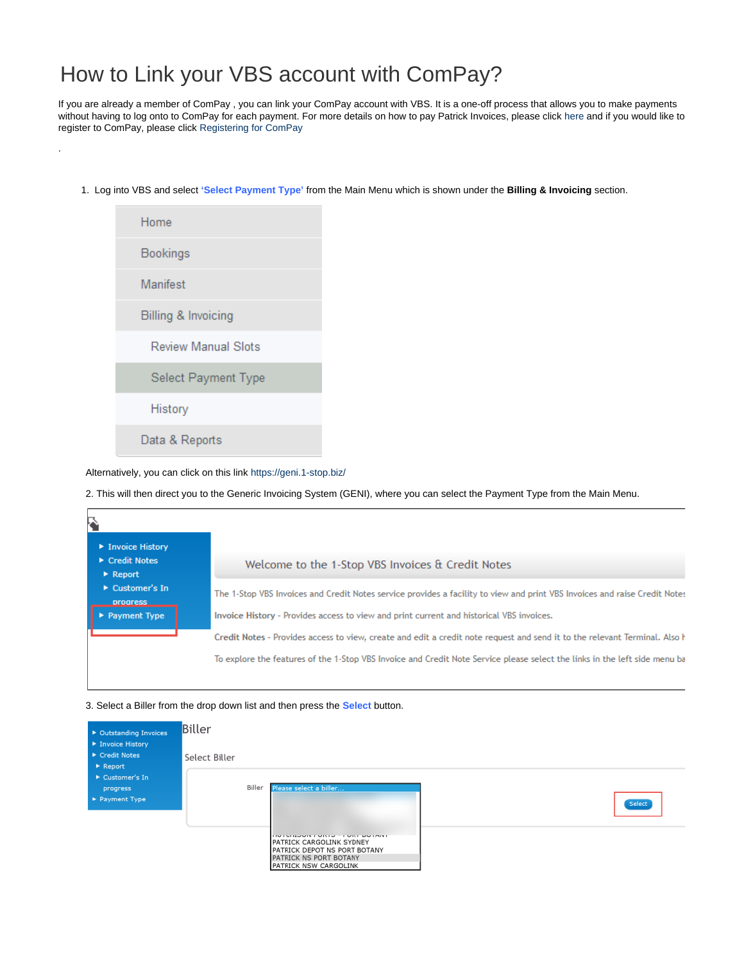## How to Link your VBS account with ComPay?

If you are already a member of ComPay , you can link your ComPay account with VBS. It is a one-off process that allows you to make payments without having to log onto to ComPay for each payment. For more details on how to pay Patrick Invoices, please click [here](https://help.1-stop.biz/pages/viewpage.action?pageId=36569136) and if you would like to register to ComPay, please click [Registering for ComPay](https://help.1-stop.biz/pages/viewpage.action?pageId=11075688)

1. Log into VBS and select **'Select Payment Type'** from the Main Menu which is shown under the **Billing & Invoicing** section.



.

Alternatively, you can click on this link<https://geni.1-stop.biz/>

2. This will then direct you to the Generic Invoicing System (GENI), where you can select the Payment Type from the Main Menu.

| 5<br>▶ Invoice History<br>$\triangleright$ Credit Notes<br>$\triangleright$ Report | Welcome to the 1-Stop VBS Invoices & Credit Notes                                                                                                                                                                                                        |
|------------------------------------------------------------------------------------|----------------------------------------------------------------------------------------------------------------------------------------------------------------------------------------------------------------------------------------------------------|
| $\triangleright$ Customer's In<br><b>progress</b><br><b>Payment Type</b>           | The 1-Stop VBS Invoices and Credit Notes service provides a facility to view and print VBS Invoices and raise Credit Notes<br>Invoice History - Provides access to view and print current and historical VBS invoices.                                   |
|                                                                                    | Credit Notes - Provides access to view, create and edit a credit note request and send it to the relevant Terminal. Also h<br>To explore the features of the 1-Stop VBS Invoice and Credit Note Service please select the links in the left side menu ba |

## 3. Select a Biller from the drop down list and then press the **Select** button.

| ▶ Outstanding Invoices                                         | <b>Biller</b> |                                                                                                                                              |        |
|----------------------------------------------------------------|---------------|----------------------------------------------------------------------------------------------------------------------------------------------|--------|
| ▶ Invoice History<br>▶ Credit Notes<br>$\triangleright$ Report | Select Biller |                                                                                                                                              |        |
| ▶ Customer's In<br>progress<br>▶ Payment Type                  | Biller        | Please select a biller                                                                                                                       | Select |
|                                                                |               | <b>INTERNATIONAL PROPERTY</b><br>PATRICK CARGOLINK SYDNEY<br>PATRICK DEPOT NS PORT BOTANY<br>PATRICK NS PORT BOTANY<br>PATRICK NSW CARGOLINK |        |